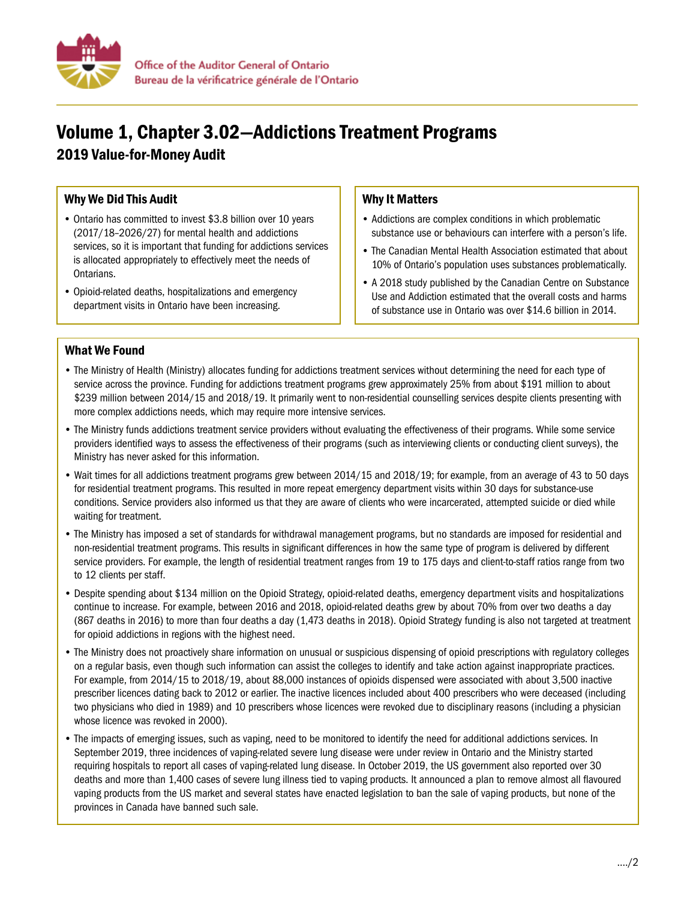

# Volume 1, Chapter 3.02—Addictions Treatment Programs

2019 Value-for-Money Audit

## Why We Did This Audit

- Ontario has committed to invest \$3.8 billion over 10 years (2017/18–2026/27) for mental health and addictions services, so it is important that funding for addictions services is allocated appropriately to effectively meet the needs of Ontarians.
- Opioid-related deaths, hospitalizations and emergency department visits in Ontario have been increasing.

### Why It Matters

- Addictions are complex conditions in which problematic substance use or behaviours can interfere with a person's life.
- The Canadian Mental Health Association estimated that about 10% of Ontario's population uses substances problematically.
- A 2018 study published by the Canadian Centre on Substance Use and Addiction estimated that the overall costs and harms of substance use in Ontario was over \$14.6 billion in 2014.

#### What We Found

- The Ministry of Health (Ministry) allocates funding for addictions treatment services without determining the need for each type of service across the province. Funding for addictions treatment programs grew approximately 25% from about \$191 million to about \$239 million between 2014/15 and 2018/19. It primarily went to non-residential counselling services despite clients presenting with more complex addictions needs, which may require more intensive services.
- The Ministry funds addictions treatment service providers without evaluating the effectiveness of their programs. While some service providers identified ways to assess the effectiveness of their programs (such as interviewing clients or conducting client surveys), the Ministry has never asked for this information.
- Wait times for all addictions treatment programs grew between 2014/15 and 2018/19; for example, from an average of 43 to 50 days for residential treatment programs. This resulted in more repeat emergency department visits within 30 days for substance-use conditions. Service providers also informed us that they are aware of clients who were incarcerated, attempted suicide or died while waiting for treatment.
- The Ministry has imposed a set of standards for withdrawal management programs, but no standards are imposed for residential and non-residential treatment programs. This results in significant differences in how the same type of program is delivered by different service providers. For example, the length of residential treatment ranges from 19 to 175 days and client-to-staff ratios range from two to 12 clients per staff.
- Despite spending about \$134 million on the Opioid Strategy, opioid-related deaths, emergency department visits and hospitalizations continue to increase. For example, between 2016 and 2018, opioid-related deaths grew by about 70% from over two deaths a day (867 deaths in 2016) to more than four deaths a day (1,473 deaths in 2018). Opioid Strategy funding is also not targeted at treatment for opioid addictions in regions with the highest need.
- The Ministry does not proactively share information on unusual or suspicious dispensing of opioid prescriptions with regulatory colleges on a regular basis, even though such information can assist the colleges to identify and take action against inappropriate practices. For example, from 2014/15 to 2018/19, about 88,000 instances of opioids dispensed were associated with about 3,500 inactive prescriber licences dating back to 2012 or earlier. The inactive licences included about 400 prescribers who were deceased (including two physicians who died in 1989) and 10 prescribers whose licences were revoked due to disciplinary reasons (including a physician whose licence was revoked in 2000).
- The impacts of emerging issues, such as vaping, need to be monitored to identify the need for additional addictions services. In September 2019, three incidences of vaping-related severe lung disease were under review in Ontario and the Ministry started requiring hospitals to report all cases of vaping-related lung disease. In October 2019, the US government also reported over 30 deaths and more than 1,400 cases of severe lung illness tied to vaping products. It announced a plan to remove almost all flavoured vaping products from the US market and several states have enacted legislation to ban the sale of vaping products, but none of the provinces in Canada have banned such sale.